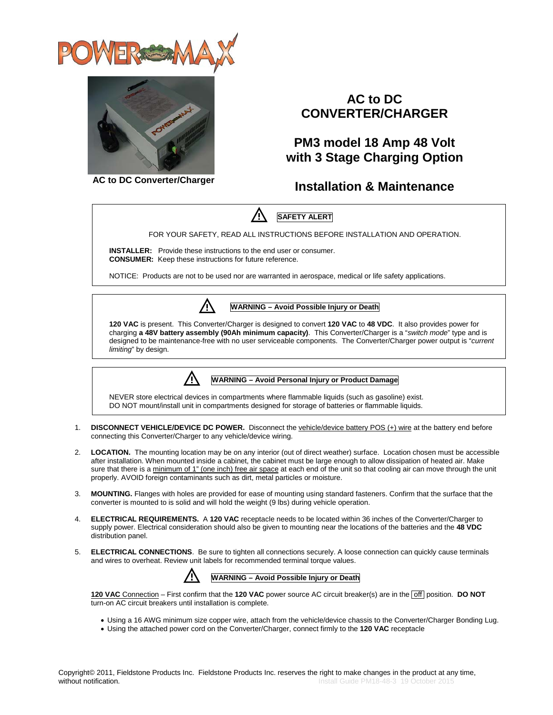



## **AC to DC CONVERTER/CHARGER**

### **PM3 model 18 Amp 48 Volt with 3 Stage Charging Option**

**AC to DC Converter/Charger**

### **Installation & Maintenance**



FOR YOUR SAFETY, READ ALL INSTRUCTIONS BEFORE INSTALLATION AND OPERATION.

**INSTALLER:** Provide these instructions to the end user or consumer. **CONSUMER:** Keep these instructions for future reference.

NOTICE: Products are not to be used nor are warranted in aerospace, medical or life safety applications.



**WARNING – Avoid Possible Injury or Death**

**120 VAC** is present. This Converter/Charger is designed to convert **120 VAC** to **48 VDC**. It also provides power for charging **a 48V battery assembly (90Ah minimum capacity)**. This Converter/Charger is a "*switch mode*" type and is designed to be maintenance-free with no user serviceable components. The Converter/Charger power output is "*current limiting*" by design.



**WARNING – Avoid Personal Injury or Product Damage**

NEVER store electrical devices in compartments where flammable liquids (such as gasoline) exist. DO NOT mount/install unit in compartments designed for storage of batteries or flammable liquids.

- 1. **DISCONNECT VEHICLE/DEVICE DC POWER.** Disconnect the vehicle/device battery POS (+) wire at the battery end before connecting this Converter/Charger to any vehicle/device wiring.
- 2. **LOCATION.** The mounting location may be on any interior (out of direct weather) surface. Location chosen must be accessible after installation. When mounted inside a cabinet, the cabinet must be large enough to allow dissipation of heated air. Make sure that there is a minimum of 1" (one inch) free air space at each end of the unit so that cooling air can move through the unit properly. AVOID foreign contaminants such as dirt, metal particles or moisture.
- 3. **MOUNTING.** Flanges with holes are provided for ease of mounting using standard fasteners. Confirm that the surface that the converter is mounted to is solid and will hold the weight (9 lbs) during vehicle operation.
- 4. **ELECTRICAL REQUIREMENTS.** A **120 VAC** receptacle needs to be located within 36 inches of the Converter/Charger to supply power. Electrical consideration should also be given to mounting near the locations of the batteries and the **48 VDC** distribution panel.
- 5. **ELECTRICAL CONNECTIONS**. Be sure to tighten all connections securely. A loose connection can quickly cause terminals and wires to overheat. Review unit labels for recommended terminal torque values.



**120 VAC** Connection – First confirm that the **120 VAC** power source AC circuit breaker(s) are in the **off** position. **DO NOT** turn-on AC circuit breakers until installation is complete.

- Using a 16 AWG minimum size copper wire, attach from the vehicle/device chassis to the Converter/Charger Bonding Lug.
- Using the attached power cord on the Converter/Charger, connect firmly to the **120 VAC** receptacle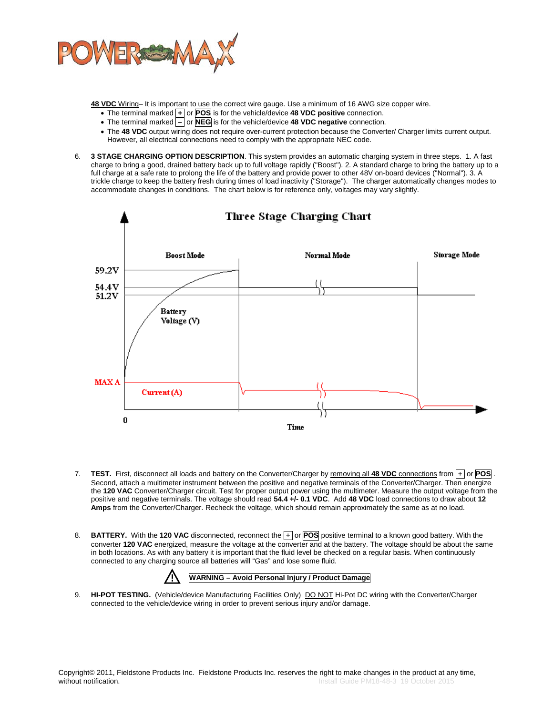

**48 VDC** Wiring– It is important to use the correct wire gauge. Use a minimum of 16 AWG size copper wire.

- The terminal marked **+** or **POS** is for the vehicle/device **48 VDC positive** connection.
- The terminal marked **–** or **NEG** is for the vehicle/device **48 VDC negative** connection.
- The **48 VDC** output wiring does not require over-current protection because the Converter/ Charger limits current output. However, all electrical connections need to comply with the appropriate NEC code.
- 6. **3 STAGE CHARGING OPTION DESCRIPTION**. This system provides an automatic charging system in three steps. 1. A fast charge to bring a good, drained battery back up to full voltage rapidly ("Boost"). 2. A standard charge to bring the battery up to a full charge at a safe rate to prolong the life of the battery and provide power to other 48V on-board devices ("Normal"). 3. A trickle charge to keep the battery fresh during times of load inactivity ("Storage"). The charger automatically changes modes to accommodate changes in conditions. The chart below is for reference only, voltages may vary slightly.



- 7. **TEST.** First, disconnect all loads and battery on the Converter/Charger by removing all **48 VDC** connections from + or **POS** . Second, attach a multimeter instrument between the positive and negative terminals of the Converter/Charger. Then energize the **120 VAC** Converter/Charger circuit. Test for proper output power using the multimeter. Measure the output voltage from the positive and negative terminals. The voltage should read **54.4 +/- 0.1 VDC**. Add **48 VDC** load connections to draw about **12 Amps** from the Converter/Charger. Recheck the voltage, which should remain approximately the same as at no load.
- 8. **BATTERY.** With the **120 VAC** disconnected, reconnect the + or **POS** positive terminal to a known good battery. With the converter **120 VAC** energized, measure the voltage at the converter and at the battery. The voltage should be about the same in both locations. As with any battery it is important that the fluid level be checked on a regular basis. When continuously connected to any charging source all batteries will "Gas" and lose some fluid.



9. **HI-POT TESTING.** (Vehicle/device Manufacturing Facilities Only) DO NOT Hi-Pot DC wiring with the Converter/Charger connected to the vehicle/device wiring in order to prevent serious injury and/or damage.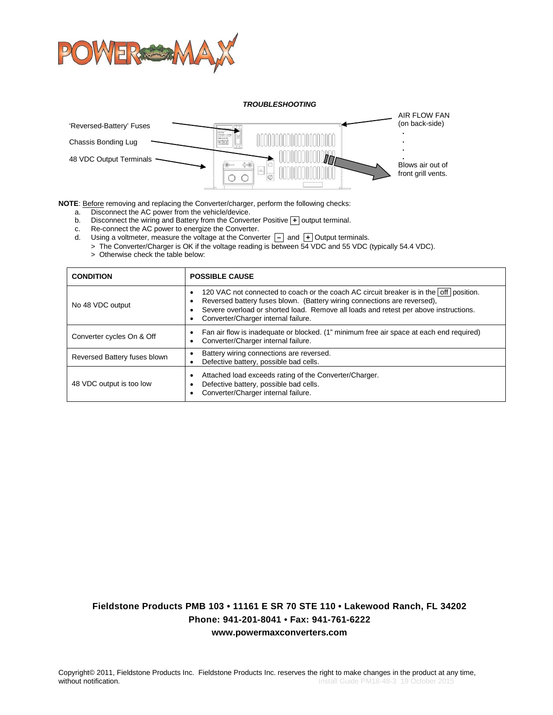

*TROUBLESHOOTING* AIR FLOW FAN (on back-side) 'Reversed-Battery' Fuses  **.** Chassis Bonding Lug  **. . .** 48 VDC Output Terminals Blows air out of front grill vents. $\circ$ C

**NOTE**: **Before** removing and replacing the Converter/charger, perform the following checks:

a. Disconnect the AC power from the vehicle/device.

b. Disconnect the wiring and Battery from the Converter Positive **+** output terminal.<br>c. Re-connect the AC power to energize the Converter.

- c. Re-connect the AC power to energize the Converter.
- d. Using a voltmeter, measure the voltage at the Converter  $|-|$  and  $|+|$  Output terminals.
- > The Converter/Charger is OK if the voltage reading is between 54 VDC and 55 VDC (typically 54.4 VDC). > Otherwise check the table below:

| <b>CONDITION</b>             | <b>POSSIBLE CAUSE</b>                                                                                                                                                                                                                                                                                  |
|------------------------------|--------------------------------------------------------------------------------------------------------------------------------------------------------------------------------------------------------------------------------------------------------------------------------------------------------|
| No 48 VDC output             | 120 VAC not connected to coach or the coach AC circuit breaker is in the off position.<br>Reversed battery fuses blown. (Battery wiring connections are reversed),<br>Severe overload or shorted load. Remove all loads and retest per above instructions.<br>٠<br>Converter/Charger internal failure. |
| Converter cycles On & Off    | Fan air flow is inadequate or blocked. (1" minimum free air space at each end required)<br>$\bullet$<br>Converter/Charger internal failure.<br>$\bullet$                                                                                                                                               |
| Reversed Battery fuses blown | Battery wiring connections are reversed.<br>Defective battery, possible bad cells.<br>$\bullet$                                                                                                                                                                                                        |
| 48 VDC output is too low     | Attached load exceeds rating of the Converter/Charger.<br>$\bullet$<br>Defective battery, possible bad cells.<br>٠<br>Converter/Charger internal failure.                                                                                                                                              |

### **Fieldstone Products PMB 103 • 11161 E SR 70 STE 110 • Lakewood Ranch, FL 34202 Phone: 941-201-8041 • Fax: 941-761-6222 www.powermaxconverters.com**